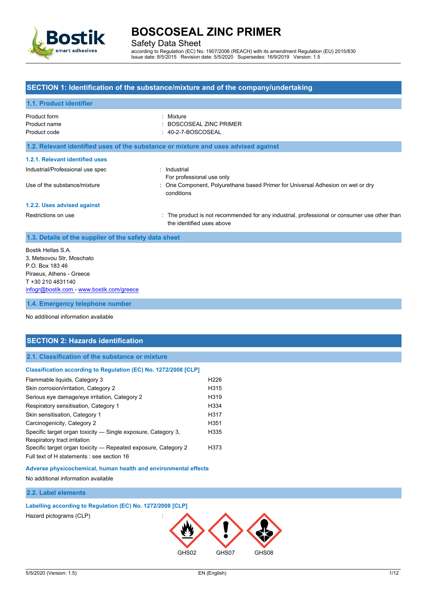

Safety Data Sheet

according to Regulation (EC) No. 1907/2006 (REACH) with its amendment Regulation (EU) 2015/830 Issue date: 8/5/2015 Revision date: 5/5/2020 Supersedes: 16/9/2019 Version: 1.5

### **SECTION 1: Identification of the substance/mixture and of the company/undertaking**

#### **1.1. Product identifier**

| Product form<br>Product name<br>Product code | : Mixture<br>: BOSCOSEAL ZINC PRIMER<br>$: 40-2-7-BOSCOSEAL$                                                              |
|----------------------------------------------|---------------------------------------------------------------------------------------------------------------------------|
|                                              | 1.2. Relevant identified uses of the substance or mixture and uses advised against                                        |
| 1.2.1. Relevant identified uses              |                                                                                                                           |
| Industrial/Professional use spec             | : Industrial<br>For professional use only                                                                                 |
| Use of the substance/mixture                 | : One Component, Polyurethane based Primer for Universal Adhesion on wet or dry<br>conditions                             |
| 1.2.2. Uses advised against                  |                                                                                                                           |
| Restrictions on use                          | : The product is not recommended for any industrial, professional or consumer use other than<br>the identified uses above |

### **1.3. Details of the supplier of the safety data sheet**

| Bostik Hellas S.A.                        |  |  |
|-------------------------------------------|--|--|
| 3. Metsovou Str. Moschato                 |  |  |
| P.O. Box 183 46                           |  |  |
| Piraeus, Athens - Greece                  |  |  |
| T +30 210 4831140                         |  |  |
| infogr@bostik.com - www.bostik.com/greece |  |  |
|                                           |  |  |
| 1.4. Emergency telephone number           |  |  |

#### No additional information available

### **SECTION 2: Hazards identification**

#### **2.1. Classification of the substance or mixture**

#### **Classification according to Regulation (EC) No. 1272/2008 [CLP]**

| Flammable liquids, Category 3                                  | H <sub>226</sub> |
|----------------------------------------------------------------|------------------|
| Skin corrosion/irritation, Category 2                          | H <sub>315</sub> |
| Serious eye damage/eye irritation, Category 2                  | H <sub>319</sub> |
| Respiratory sensitisation, Category 1                          | H <sub>334</sub> |
| Skin sensitisation, Category 1                                 | H317             |
| Carcinogenicity, Category 2                                    | H <sub>351</sub> |
| Specific target organ toxicity — Single exposure, Category 3,  | H <sub>335</sub> |
| Respiratory tract irritation                                   |                  |
| Specific target organ toxicity - Repeated exposure, Category 2 | H <sub>373</sub> |
| Full text of H statements : see section 16                     |                  |

#### **Adverse physicochemical, human health and environmental effects**

No additional information available

### **2.2. Label elements**

### **Labelling according to Regulation (EC) No. 1272/2008 [CLP]**

Hazard pictograms (CLP) :

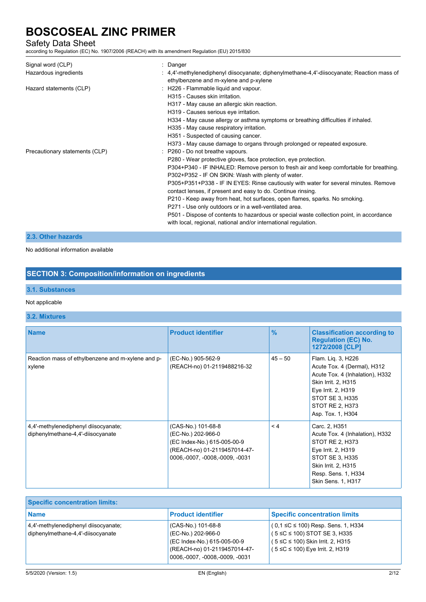## Safety Data Sheet

according to Regulation (EC) No. 1907/2006 (REACH) with its amendment Regulation (EU) 2015/830

| Signal word (CLP)<br>Hazardous ingredients | : Danger<br>: $4,4'$ -methylenediphenyl diisocyanate; diphenylmethane-4,4'-diisocyanate; Reaction mass of<br>ethylbenzene and m-xylene and p-xylene                                                                                                                                                                                                                                                                                                                                                                                                                                                                                                                                                                                                                                             |
|--------------------------------------------|-------------------------------------------------------------------------------------------------------------------------------------------------------------------------------------------------------------------------------------------------------------------------------------------------------------------------------------------------------------------------------------------------------------------------------------------------------------------------------------------------------------------------------------------------------------------------------------------------------------------------------------------------------------------------------------------------------------------------------------------------------------------------------------------------|
| Hazard statements (CLP)                    | : H226 - Flammable liquid and vapour.<br>H315 - Causes skin irritation<br>H317 - May cause an allergic skin reaction.<br>H319 - Causes serious eye irritation.<br>H334 - May cause allergy or asthma symptoms or breathing difficulties if inhaled.<br>H335 - May cause respiratory irritation.<br>H351 - Suspected of causing cancer.                                                                                                                                                                                                                                                                                                                                                                                                                                                          |
| Precautionary statements (CLP)             | H373 - May cause damage to organs through prolonged or repeated exposure.<br>: P260 - Do not breathe vapours.<br>P280 - Wear protective gloves, face protection, eye protection.<br>P304+P340 - IF INHALED: Remove person to fresh air and keep comfortable for breathing.<br>P302+P352 - IF ON SKIN: Wash with plenty of water.<br>P305+P351+P338 - IF IN EYES: Rinse cautiously with water for several minutes. Remove<br>contact lenses, if present and easy to do. Continue rinsing.<br>P210 - Keep away from heat, hot surfaces, open flames, sparks. No smoking.<br>P271 - Use only outdoors or in a well-ventilated area.<br>P501 - Dispose of contents to hazardous or special waste collection point, in accordance<br>with local, regional, national and/or international regulation. |

#### **2.3. Other hazards**

No additional information available

## **SECTION 3: Composition/information on ingredients**

### **3.1. Substances**

#### Not applicable

### **3.2. Mixtures**

| <b>Name</b>                                                               | <b>Product identifier</b>                                                                                                                   | $\frac{9}{6}$ | <b>Classification according to</b><br><b>Regulation (EC) No.</b><br>1272/2008 [CLP]                                                                                                          |
|---------------------------------------------------------------------------|---------------------------------------------------------------------------------------------------------------------------------------------|---------------|----------------------------------------------------------------------------------------------------------------------------------------------------------------------------------------------|
| Reaction mass of ethylbenzene and m-xylene and p-<br>xylene               | (EC-No.) 905-562-9<br>(REACH-no) 01-2119488216-32                                                                                           | $45 - 50$     | Flam. Lig. 3, H226<br>Acute Tox. 4 (Dermal), H312<br>Acute Tox. 4 (Inhalation), H332<br>Skin Irrit. 2, H315<br>Eye Irrit. 2, H319<br>STOT SE 3, H335<br>STOT RE 2, H373<br>Asp. Tox. 1, H304 |
| 4,4'-methylenediphenyl diisocyanate;<br>diphenylmethane-4,4'-diisocyanate | (CAS-No.) 101-68-8<br>(EC-No.) 202-966-0<br>(EC Index-No.) 615-005-00-9<br>(REACH-no) 01-2119457014-47-<br>0006, -0007, -0008, -0009, -0031 | $\leq 4$      | Carc. 2, H351<br>Acute Tox. 4 (Inhalation), H332<br>STOT RE 2, H373<br>Eye Irrit. 2, H319<br>STOT SE 3, H335<br>Skin Irrit. 2, H315<br>Resp. Sens. 1, H334<br>Skin Sens. 1, H317             |

| <b>Specific concentration limits:</b>                                         |                                                                                                                                             |                                                                                                                                                              |  |
|-------------------------------------------------------------------------------|---------------------------------------------------------------------------------------------------------------------------------------------|--------------------------------------------------------------------------------------------------------------------------------------------------------------|--|
| <b>Name</b>                                                                   | <b>Product identifier</b>                                                                                                                   | <b>Specific concentration limits</b>                                                                                                                         |  |
| $ 4,4'$ -methylenediphenyl diisocyanate;<br>diphenylmethane-4,4'-diisocyanate | (CAS-No.) 101-68-8<br>(EC-No.) 202-966-0<br>(EC Index-No.) 615-005-00-9<br>(REACH-no) 01-2119457014-47-<br>0006, -0007, -0008, -0009, -0031 | $(0.1 \leq C \leq 100)$ Resp. Sens. 1, H334<br>$(5 \le C \le 100)$ STOT SE 3, H335<br>(5 ≤C ≤ 100) Skin Irrit. 2, H315<br>$(5 ≤ C ≤ 100)$ Eye Irrit. 2, H319 |  |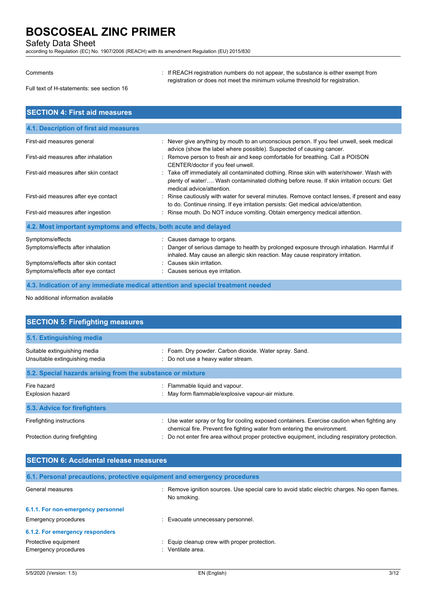Safety Data Sheet

according to Regulation (EC) No. 1907/2006 (REACH) with its amendment Regulation (EU) 2015/830

Comments **Southern EXECC**H registration numbers do not appear, the substance is either exempt from registration or does not meet the minimum volume threshold for registration.

Full text of H-statements: see section 16

| <b>SECTION 4: First aid measures</b>                                      |                                                                                                                                                                                                                    |
|---------------------------------------------------------------------------|--------------------------------------------------------------------------------------------------------------------------------------------------------------------------------------------------------------------|
| 4.1. Description of first aid measures                                    |                                                                                                                                                                                                                    |
| First-aid measures general                                                | : Never give anything by mouth to an unconscious person. If you feel unwell, seek medical<br>advice (show the label where possible). Suspected of causing cancer.                                                  |
| First-aid measures after inhalation                                       | : Remove person to fresh air and keep comfortable for breathing. Call a POISON<br>CENTER/doctor if you feel unwell.                                                                                                |
| First-aid measures after skin contact                                     | : Take off immediately all contaminated clothing. Rinse skin with water/shower. Wash with<br>plenty of water/ Wash contaminated clothing before reuse. If skin irritation occurs: Get<br>medical advice/attention. |
| First-aid measures after eye contact                                      | : Rinse cautiously with water for several minutes. Remove contact lenses, if present and easy<br>to do. Continue rinsing. If eye irritation persists: Get medical advice/attention.                                |
| First-aid measures after ingestion                                        | : Rinse mouth. Do NOT induce vomiting. Obtain emergency medical attention.                                                                                                                                         |
| 4.2. Most important symptoms and effects, both acute and delayed          |                                                                                                                                                                                                                    |
| Symptoms/effects<br>Symptoms/effects after inhalation                     | : Causes damage to organs.<br>: Danger of serious damage to health by prolonged exposure through inhalation. Harmful if<br>inhaled. May cause an allergic skin reaction. May cause respiratory irritation.         |
| Symptoms/effects after skin contact<br>Symptoms/effects after eye contact | : Causes skin irritation.<br>: Causes serious eye irritation.                                                                                                                                                      |
|                                                                           | 4.3. Indication of any immediate medical attention and special treatment needed                                                                                                                                    |

No additional information available

| <b>SECTION 5: Firefighting measures</b>                        |                                                                                                                                                                          |  |  |
|----------------------------------------------------------------|--------------------------------------------------------------------------------------------------------------------------------------------------------------------------|--|--|
| 5.1. Extinguishing media                                       |                                                                                                                                                                          |  |  |
| Suitable extinguishing media<br>Unsuitable extinguishing media | : Foam. Dry powder. Carbon dioxide. Water spray. Sand.<br>: Do not use a heavy water stream.                                                                             |  |  |
| 5.2. Special hazards arising from the substance or mixture     |                                                                                                                                                                          |  |  |
| Fire hazard<br><b>Explosion hazard</b>                         | : Flammable liquid and vapour.<br>: May form flammable/explosive vapour-air mixture.                                                                                     |  |  |
| 5.3. Advice for firefighters                                   |                                                                                                                                                                          |  |  |
| Firefighting instructions                                      | : Use water spray or fog for cooling exposed containers. Exercise caution when fighting any<br>chemical fire. Prevent fire fighting water from entering the environment. |  |  |
| Protection during firefighting                                 | : Do not enter fire area without proper protective equipment, including respiratory protection.                                                                          |  |  |

| <b>SECTION 6: Accidental release measures</b>                            |                                                                                                                  |  |  |
|--------------------------------------------------------------------------|------------------------------------------------------------------------------------------------------------------|--|--|
| 6.1. Personal precautions, protective equipment and emergency procedures |                                                                                                                  |  |  |
| General measures                                                         | Remove ignition sources. Use special care to avoid static electric charges. No open flames.<br>÷.<br>No smoking. |  |  |
| 6.1.1. For non-emergency personnel                                       |                                                                                                                  |  |  |
| Emergency procedures                                                     | Evacuate unnecessary personnel.                                                                                  |  |  |
| 6.1.2. For emergency responders                                          |                                                                                                                  |  |  |
| Protective equipment<br>Emergency procedures                             | Equip cleanup crew with proper protection.<br>Ventilate area.                                                    |  |  |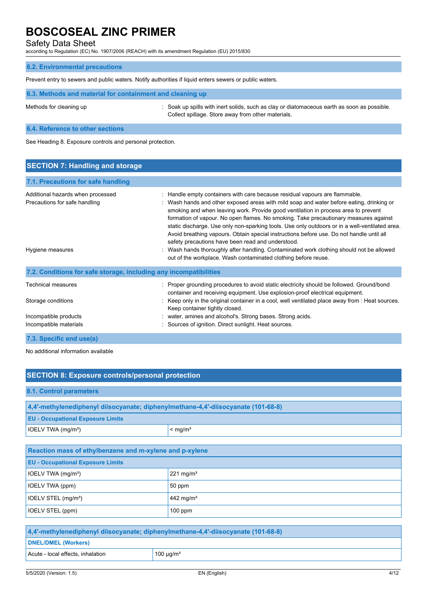Safety Data Sheet

according to Regulation (EC) No. 1907/2006 (REACH) with its amendment Regulation (EU) 2015/830

## **6.2. Environmental precautions**

Prevent entry to sewers and public waters. Notify authorities if liquid enters sewers or public waters.

| 6.3. Methods and material for containment and cleaning up |                                                                                                                                                   |  |
|-----------------------------------------------------------|---------------------------------------------------------------------------------------------------------------------------------------------------|--|
| Methods for cleaning up                                   | : Soak up spills with inert solids, such as clay or diatomaceous earth as soon as possible.<br>Collect spillage. Store away from other materials. |  |

### **6.4. Reference to other sections**

See Heading 8. Exposure controls and personal protection.

| <b>SECTION 7: Handling and storage</b>                                                             |                                                                                                                                                                                                                                                                                                                                                                                                                                                                                                                                                                                                                                                                                                                                                                        |  |
|----------------------------------------------------------------------------------------------------|------------------------------------------------------------------------------------------------------------------------------------------------------------------------------------------------------------------------------------------------------------------------------------------------------------------------------------------------------------------------------------------------------------------------------------------------------------------------------------------------------------------------------------------------------------------------------------------------------------------------------------------------------------------------------------------------------------------------------------------------------------------------|--|
| 7.1. Precautions for safe handling                                                                 |                                                                                                                                                                                                                                                                                                                                                                                                                                                                                                                                                                                                                                                                                                                                                                        |  |
| Additional hazards when processed<br>Precautions for safe handling<br>Hygiene measures             | : Handle empty containers with care because residual vapours are flammable.<br>: Wash hands and other exposed areas with mild soap and water before eating, drinking or<br>smoking and when leaving work. Provide good ventilation in process area to prevent<br>formation of vapour. No open flames. No smoking. Take precautionary measures against<br>static discharge. Use only non-sparking tools. Use only outdoors or in a well-ventilated area.<br>Avoid breathing vapours. Obtain special instructions before use. Do not handle until all<br>safety precautions have been read and understood.<br>: Wash hands thoroughly after handling. Contaminated work clothing should not be allowed<br>out of the workplace. Wash contaminated clothing before reuse. |  |
| 7.2. Conditions for safe storage, including any incompatibilities                                  |                                                                                                                                                                                                                                                                                                                                                                                                                                                                                                                                                                                                                                                                                                                                                                        |  |
| <b>Technical measures</b><br>Storage conditions<br>Incompatible products<br>Incompatible materials | : Proper grounding procedures to avoid static electricity should be followed. Ground/bond<br>container and receiving equipment. Use explosion-proof electrical equipment.<br>: Keep only in the original container in a cool, well ventilated place away from : Heat sources.<br>Keep container tightly closed.<br>: water, amines and alcohol's. Strong bases. Strong acids.<br>Sources of ignition. Direct sunlight. Heat sources.                                                                                                                                                                                                                                                                                                                                   |  |
| 7.3. Specific end use(s)                                                                           |                                                                                                                                                                                                                                                                                                                                                                                                                                                                                                                                                                                                                                                                                                                                                                        |  |

No additional information available

| <b>SECTION 8: Exposure controls/personal protection</b>                           |                         |  |
|-----------------------------------------------------------------------------------|-------------------------|--|
| 8.1. Control parameters                                                           |                         |  |
| 4,4'-methylenediphenyl diisocyanate; diphenylmethane-4,4'-diisocyanate (101-68-8) |                         |  |
| <b>EU - Occupational Exposure Limits</b>                                          |                         |  |
| IOELV TWA (mg/m <sup>3</sup> )                                                    | $<$ mg/m <sup>3</sup>   |  |
|                                                                                   |                         |  |
| Reaction mass of ethylbenzene and m-xylene and p-xylene                           |                         |  |
| <b>EU - Occupational Exposure Limits</b>                                          |                         |  |
| IOELV TWA (mg/m <sup>3</sup> )                                                    | $221$ mg/m <sup>3</sup> |  |
| IOELV TWA (ppm)                                                                   | 50 ppm                  |  |
| IOELV STEL (mg/m <sup>3</sup> )                                                   | 442 mg/m <sup>3</sup>   |  |
| IOELV STEL (ppm)                                                                  | $100$ ppm               |  |
|                                                                                   |                         |  |
| 4,4'-methylenediphenyl diisocyanate; diphenylmethane-4,4'-diisocyanate (101-68-8) |                         |  |

### **DNEL/DMEL (Workers)**

Acute - local effects, inhalation  $100 \mu g/m<sup>3</sup>$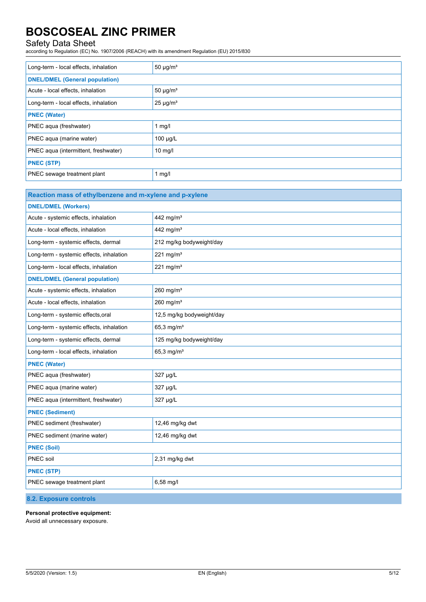## Safety Data Sheet

according to Regulation (EC) No. 1907/2006 (REACH) with its amendment Regulation (EU) 2015/830

| Long-term - local effects, inhalation | 50 $\mu$ g/m <sup>3</sup> |  |
|---------------------------------------|---------------------------|--|
| <b>DNEL/DMEL (General population)</b> |                           |  |
| Acute - local effects, inhalation     | $50 \mu g/m^3$            |  |
| Long-term - local effects, inhalation | $25 \mu g/m^3$            |  |
| <b>PNEC (Water)</b>                   |                           |  |
| PNEC aqua (freshwater)                | 1 $mg/l$                  |  |
| PNEC aqua (marine water)              | $100 \mu g/L$             |  |
| PNEC aqua (intermittent, freshwater)  | $10$ mg/l                 |  |
| <b>PNEC (STP)</b>                     |                           |  |
| PNEC sewage treatment plant           | 1 $mg/l$                  |  |

| Reaction mass of ethylbenzene and m-xylene and p-xylene |                           |  |
|---------------------------------------------------------|---------------------------|--|
| <b>DNEL/DMEL (Workers)</b>                              |                           |  |
| Acute - systemic effects, inhalation                    | 442 mg/m <sup>3</sup>     |  |
| Acute - local effects, inhalation                       | 442 mg/m <sup>3</sup>     |  |
| Long-term - systemic effects, dermal                    | 212 mg/kg bodyweight/day  |  |
| Long-term - systemic effects, inhalation                | 221 mg/m $3$              |  |
| Long-term - local effects, inhalation                   | 221 mg/m $3$              |  |
| <b>DNEL/DMEL (General population)</b>                   |                           |  |
| Acute - systemic effects, inhalation                    | $260$ mg/m <sup>3</sup>   |  |
| Acute - local effects, inhalation                       | $260$ mg/m <sup>3</sup>   |  |
| Long-term - systemic effects, oral                      | 12,5 mg/kg bodyweight/day |  |
| Long-term - systemic effects, inhalation                | $65.3$ mg/m <sup>3</sup>  |  |
| Long-term - systemic effects, dermal                    | 125 mg/kg bodyweight/day  |  |
| Long-term - local effects, inhalation                   | 65,3 mg/ $m^3$            |  |
| <b>PNEC (Water)</b>                                     |                           |  |
| PNEC aqua (freshwater)                                  | 327 µg/L                  |  |
| PNEC aqua (marine water)                                | 327 µg/L                  |  |
| PNEC aqua (intermittent, freshwater)                    | 327 µg/L                  |  |
| <b>PNEC (Sediment)</b>                                  |                           |  |
| PNEC sediment (freshwater)                              | 12,46 mg/kg dwt           |  |
| PNEC sediment (marine water)                            | 12,46 mg/kg dwt           |  |
| <b>PNEC (Soil)</b>                                      |                           |  |
| PNEC soil                                               | 2,31 mg/kg dwt            |  |
| <b>PNEC (STP)</b>                                       |                           |  |
| PNEC sewage treatment plant                             | 6,58 mg/l                 |  |
| 8.2. Exposure controls                                  |                           |  |

**Personal protective equipment:**

Avoid all unnecessary exposure.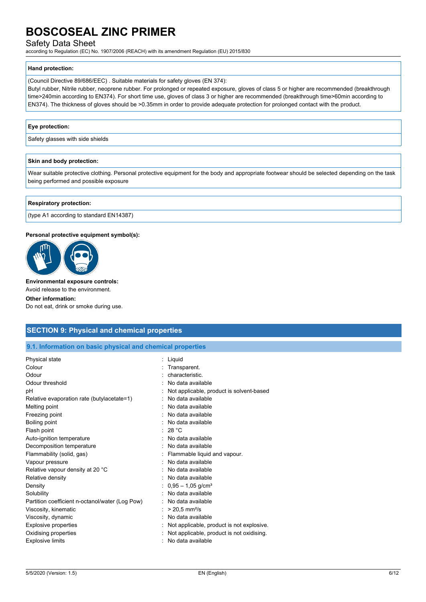### Safety Data Sheet

according to Regulation (EC) No. 1907/2006 (REACH) with its amendment Regulation (EU) 2015/830

#### **Hand protection:**

(Council Directive 89/686/EEC) . Suitable materials for safety gloves (EN 374):

Butyl rubber, Nitrile rubber, neoprene rubber. For prolonged or repeated exposure, gloves of class 5 or higher are recommended (breakthrough time>240min according to EN374). For short time use, gloves of class 3 or higher are recommended (breakthrough time>60min according to EN374). The thickness of gloves should be >0.35mm in order to provide adequate protection for prolonged contact with the product.

#### **Eye protection:**

Safety glasses with side shields

#### **Skin and body protection:**

Wear suitable protective clothing. Personal protective equipment for the body and appropriate footwear should be selected depending on the task being performed and possible exposure

### **Respiratory protection:**

(type A1 according to standard EN14387)

#### **Personal protective equipment symbol(s):**



#### **Environmental exposure controls:**

Avoid release to the environment.

#### **Other information:**

Do not eat, drink or smoke during use.

### **SECTION 9: Physical and chemical properties**

#### **9.1. Information on basic physical and chemical properties**

| Physical state<br>Colour<br>Odour<br>Odour threshold<br>рH<br>Relative evaporation rate (butylacetate=1)<br>Melting point<br>Freezing point<br>Boiling point | Liquid<br>Transparent.<br>characteristic.<br>No data available<br>Not applicable, product is solvent-based<br>No data available<br>No data available<br>No data available<br>No data available |
|--------------------------------------------------------------------------------------------------------------------------------------------------------------|------------------------------------------------------------------------------------------------------------------------------------------------------------------------------------------------|
|                                                                                                                                                              |                                                                                                                                                                                                |
|                                                                                                                                                              |                                                                                                                                                                                                |
|                                                                                                                                                              |                                                                                                                                                                                                |
|                                                                                                                                                              |                                                                                                                                                                                                |
|                                                                                                                                                              |                                                                                                                                                                                                |
| Flash point                                                                                                                                                  | : 28 °C                                                                                                                                                                                        |
| Auto-ignition temperature                                                                                                                                    | No data available                                                                                                                                                                              |
| Decomposition temperature                                                                                                                                    | No data available                                                                                                                                                                              |
| Flammability (solid, gas)                                                                                                                                    | Flammable liquid and vapour.                                                                                                                                                                   |
| Vapour pressure                                                                                                                                              | No data available                                                                                                                                                                              |
| Relative vapour density at 20 °C                                                                                                                             | No data available                                                                                                                                                                              |
| Relative density                                                                                                                                             | No data available                                                                                                                                                                              |
| Density                                                                                                                                                      | $0,95 - 1,05$ g/cm <sup>3</sup>                                                                                                                                                                |
| Solubility                                                                                                                                                   | No data available                                                                                                                                                                              |
| Partition coefficient n-octanol/water (Log Pow)                                                                                                              | No data available                                                                                                                                                                              |
| Viscosity, kinematic                                                                                                                                         | $> 20.5$ mm <sup>2</sup> /s                                                                                                                                                                    |
| Viscosity, dynamic                                                                                                                                           | No data available                                                                                                                                                                              |
| <b>Explosive properties</b>                                                                                                                                  | Not applicable, product is not explosive.                                                                                                                                                      |
| Oxidising properties                                                                                                                                         | Not applicable, product is not oxidising.                                                                                                                                                      |
| <b>Explosive limits</b>                                                                                                                                      | No data available                                                                                                                                                                              |
|                                                                                                                                                              |                                                                                                                                                                                                |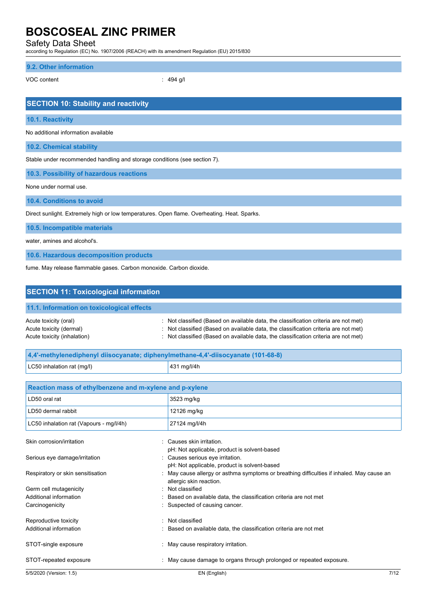Safety Data Sheet

according to Regulation (EC) No. 1907/2006 (REACH) with its amendment Regulation (EU) 2015/830

### **9.2. Other information**

VOC content : 494 g/l

| <b>SECTION 10: Stability and reactivity</b>                                                 |
|---------------------------------------------------------------------------------------------|
| 10.1. Reactivity                                                                            |
| No additional information available                                                         |
| 10.2. Chemical stability                                                                    |
| Stable under recommended handling and storage conditions (see section 7).                   |
| 10.3. Possibility of hazardous reactions                                                    |
| None under normal use.                                                                      |
| 10.4. Conditions to avoid                                                                   |
| Direct sunlight. Extremely high or low temperatures. Open flame. Overheating. Heat. Sparks. |
| 10.5. Incompatible materials                                                                |
| water, amines and alcohol's.                                                                |
| 10.6. Hazardous decomposition products                                                      |
| fume. May release flammable gases. Carbon monoxide. Carbon dioxide.                         |
|                                                                                             |
| <b>SECTION 11: Toxicological information</b>                                                |
| 11.1. Information on toxicological effects                                                  |

| Acute toxicity (oral)       | : Not classified (Based on available data, the classification criteria are not met)            |
|-----------------------------|------------------------------------------------------------------------------------------------|
| Acute toxicity (dermal)     | $\therefore$ Not classified (Based on available data, the classification criteria are not met) |
| Acute toxicity (inhalation) | : Not classified (Based on available data, the classification criteria are not met)            |

| 4.4'-methylenediphenyl diisocyanate; diphenylmethane-4.4'-diisocyanate (101-68-8) |                                                                                                                    |      |
|-----------------------------------------------------------------------------------|--------------------------------------------------------------------------------------------------------------------|------|
| LC50 inhalation rat (mg/l)                                                        | 431 mg/l/4h                                                                                                        |      |
|                                                                                   |                                                                                                                    |      |
| Reaction mass of ethylbenzene and m-xylene and p-xylene                           |                                                                                                                    |      |
| LD50 oral rat                                                                     | 3523 mg/kg                                                                                                         |      |
| LD50 dermal rabbit                                                                | 12126 mg/kg                                                                                                        |      |
| LC50 inhalation rat (Vapours - mg/l/4h)                                           | 27124 mg/l/4h                                                                                                      |      |
| Skin corrosion/irritation                                                         | Causes skin irritation.<br>pH: Not applicable, product is solvent-based                                            |      |
| Serious eye damage/irritation                                                     | : Causes serious eye irritation.<br>pH: Not applicable, product is solvent-based                                   |      |
| Respiratory or skin sensitisation                                                 | May cause allergy or asthma symptoms or breathing difficulties if inhaled. May cause an<br>allergic skin reaction. |      |
| Germ cell mutagenicity                                                            | Not classified                                                                                                     |      |
| Additional information                                                            | Based on available data, the classification criteria are not met                                                   |      |
| Carcinogenicity                                                                   | Suspected of causing cancer.                                                                                       |      |
| Reproductive toxicity                                                             | : Not classified                                                                                                   |      |
| Additional information                                                            | Based on available data, the classification criteria are not met                                                   |      |
| STOT-single exposure                                                              | May cause respiratory irritation.                                                                                  |      |
| STOT-repeated exposure                                                            | : May cause damage to organs through prolonged or repeated exposure.                                               |      |
| 5/5/2020 (Version: 1.5)                                                           | EN (English)                                                                                                       | 7/12 |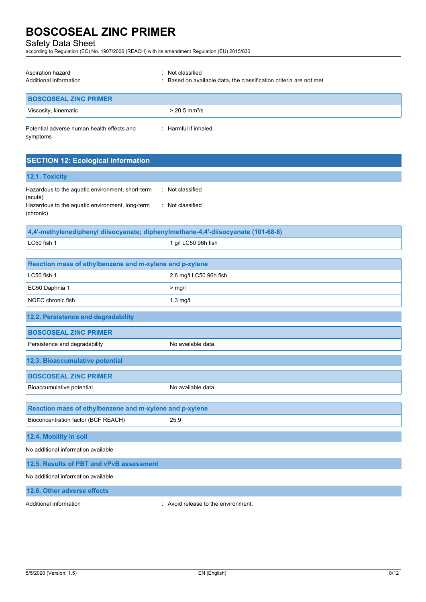Safety Data Sheet

according to Regulation (EC) No. 1907/2006 (REACH) with its amendment Regulation (EU) 2015/830

| Aspiration hazard<br>Additional information            | : Not classified<br>: Based on available data, the classification criteria are not met |
|--------------------------------------------------------|----------------------------------------------------------------------------------------|
| <b>BOSCOSEAL ZINC PRIMER</b>                           |                                                                                        |
| Viscosity, kinematic                                   | $> 20.5$ mm <sup>2</sup> /s                                                            |
| Potential adverse human health effects and<br>symptoms | : Harmful if inhaled.                                                                  |

|  |  | <b>SECTION 12: Ecological information</b> |  |
|--|--|-------------------------------------------|--|
|  |  |                                           |  |

## **12.1. Toxicity**

| Hazardous to the aquatic environment, short-term | : Not classified |
|--------------------------------------------------|------------------|
| (acute)                                          |                  |
| Hazardous to the aquatic environment, long-term  | : Not classified |
| (chronic)                                        |                  |

| 4.4'-methylenediphenyl diisocyanate; diphenylmethane-4.4'-diisocyanate (101-68-8) |                                 |  |
|-----------------------------------------------------------------------------------|---------------------------------|--|
| $LC50$ fish 1                                                                     | $^{\prime}$ 1 g/l LC50 96h fish |  |

| Reaction mass of ethylbenzene and m-xylene and p-xylene                           |                        |  |
|-----------------------------------------------------------------------------------|------------------------|--|
| LC50 fish 1                                                                       | 2,6 mg/l LC50 96h fish |  |
| EC50 Daphnia 1                                                                    | $>$ mg/l               |  |
| NOEC chronic fish                                                                 | $1,3$ mg/l             |  |
| 12.2. Persistence and degradability                                               |                        |  |
| <b>BOSCOSEAL ZINC PRIMER</b>                                                      |                        |  |
| Persistence and degradability                                                     | No available data.     |  |
| 12.3. Bioaccumulative potential                                                   |                        |  |
| <b>BOSCOSEAL ZINC PRIMER</b>                                                      |                        |  |
| Bioaccumulative potential                                                         | No available data.     |  |
| Reaction mass of ethylbenzene and m-xylene and p-xylene                           |                        |  |
| Bioconcentration factor (BCF REACH)                                               | 25,9                   |  |
| 12.4. Mobility in soil                                                            |                        |  |
| No additional information available                                               |                        |  |
| 12.5. Results of PBT and vPvB assessment                                          |                        |  |
| No additional information available                                               |                        |  |
| the property of the control of the con-<br><b><i>Charles Committee States</i></b> |                        |  |

**12.6. Other adverse effects**

Additional information **interest in the environment** of the environment.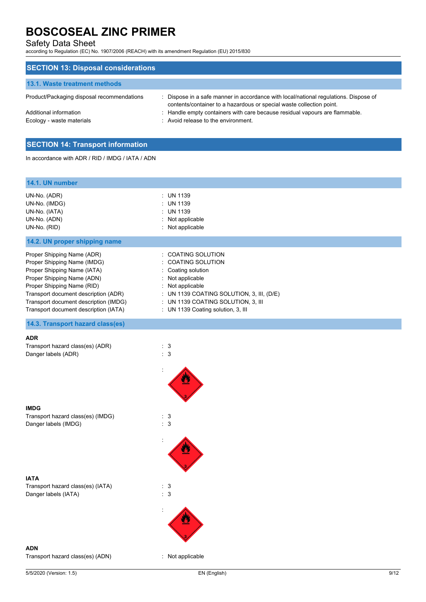## Safety Data Sheet

according to Regulation (EC) No. 1907/2006 (REACH) with its amendment Regulation (EU) 2015/830

| <b>SECTION 13: Disposal considerations</b> |                                                                                                                                                              |
|--------------------------------------------|--------------------------------------------------------------------------------------------------------------------------------------------------------------|
| <b>13.1. Waste treatment methods</b>       |                                                                                                                                                              |
| Product/Packaging disposal recommendations | : Dispose in a safe manner in accordance with local/national regulations. Dispose of<br>contents/container to a hazardous or special waste collection point. |
| Additional information                     | : Handle empty containers with care because residual vapours are flammable.                                                                                  |
| Ecology - waste materials                  | : Avoid release to the environment.                                                                                                                          |
|                                            |                                                                                                                                                              |

## **SECTION 14: Transport information**

In accordance with ADR / RID / IMDG / IATA / ADN

| 14.1. UN number                                                                                                                                                                                                                                                                |                                                                                                                                                                                                                                   |      |
|--------------------------------------------------------------------------------------------------------------------------------------------------------------------------------------------------------------------------------------------------------------------------------|-----------------------------------------------------------------------------------------------------------------------------------------------------------------------------------------------------------------------------------|------|
| UN-No. (ADR)<br>UN-No. (IMDG)<br>UN-No. (IATA)<br>UN-No. (ADN)<br>UN-No. (RID)                                                                                                                                                                                                 | : UN 1139<br>: UN 1139<br>: UN 1139<br>: Not applicable<br>: Not applicable                                                                                                                                                       |      |
| 14.2. UN proper shipping name                                                                                                                                                                                                                                                  |                                                                                                                                                                                                                                   |      |
| Proper Shipping Name (ADR)<br>Proper Shipping Name (IMDG)<br>Proper Shipping Name (IATA)<br>Proper Shipping Name (ADN)<br>Proper Shipping Name (RID)<br>Transport document description (ADR)<br>Transport document description (IMDG)<br>Transport document description (IATA) | : COATING SOLUTION<br>: COATING SOLUTION<br>: Coating solution<br>: Not applicable<br>: Not applicable<br>: UN 1139 COATING SOLUTION, 3, III, $(D/E)$<br>: UN 1139 COATING SOLUTION, 3, III<br>: UN 1139 Coating solution, 3, III |      |
| 14.3. Transport hazard class(es)                                                                                                                                                                                                                                               |                                                                                                                                                                                                                                   |      |
| <b>ADR</b><br>Transport hazard class(es) (ADR)<br>Danger labels (ADR)                                                                                                                                                                                                          | : 3<br>$\therefore$ 3                                                                                                                                                                                                             |      |
| <b>IMDG</b><br>Transport hazard class(es) (IMDG)<br>Danger labels (IMDG)                                                                                                                                                                                                       | : 3<br>: 3                                                                                                                                                                                                                        |      |
|                                                                                                                                                                                                                                                                                |                                                                                                                                                                                                                                   |      |
| <b>IATA</b><br>Transport hazard class(es) (IATA)<br>Danger labels (IATA)                                                                                                                                                                                                       | : 3<br>$\ensuremath{\mathsf{3}}$<br>t.                                                                                                                                                                                            |      |
|                                                                                                                                                                                                                                                                                |                                                                                                                                                                                                                                   |      |
| <b>ADN</b>                                                                                                                                                                                                                                                                     |                                                                                                                                                                                                                                   |      |
| Transport hazard class(es) (ADN)                                                                                                                                                                                                                                               | : Not applicable                                                                                                                                                                                                                  |      |
| 5/5/2020 (Version: 1.5)                                                                                                                                                                                                                                                        | EN (English)                                                                                                                                                                                                                      | 9/12 |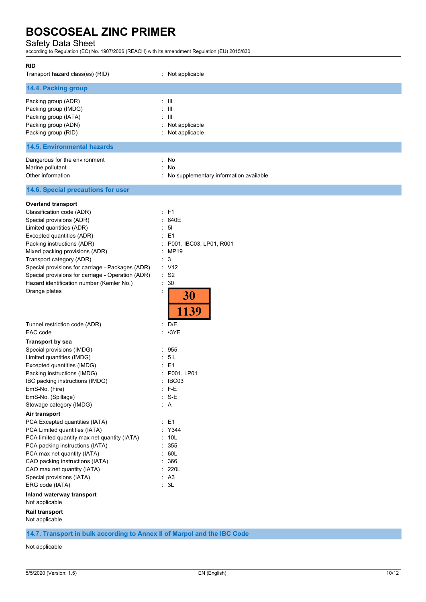## Safety Data Sheet

according to Regulation (EC) No. 1907/2006 (REACH) with its amendment Regulation (EU) 2015/830

| 14.4. Packing group<br>$: \mathbb{H}$<br>Packing group (ADR)<br>$\pm$ III<br>Packing group (IMDG)<br>$: \mathbb{H}$<br>Packing group (IATA)<br>Packing group (ADN)<br>: Not applicable<br>Packing group (RID)<br>: Not applicable<br><b>14.5. Environmental hazards</b><br>Dangerous for the environment<br>: No<br>Marine pollutant<br>: No<br>Other information<br>: No supplementary information available<br>14.6. Special precautions for user<br><b>Overland transport</b><br>Classification code (ADR)<br>: F1<br>: 640E<br>Special provisions (ADR)<br>Limited quantities (ADR)<br>: 51<br>Excepted quantities (ADR)<br>$E = 1$<br>Packing instructions (ADR)<br>: P001, IBC03, LP01, R001<br>Mixed packing provisions (ADR)<br>: MP19<br>Transport category (ADR)<br>: 3<br>Special provisions for carriage - Packages (ADR)<br>: V12<br>Special provisions for carriage - Operation (ADR)<br>$:$ S <sub>2</sub><br>Hazard identification number (Kemler No.)<br>30<br>t.<br>Orange plates<br>30<br>1139<br>: D/E<br>Tunnel restriction code (ADR)<br>EAC code<br>$\cdot$ 3YE<br>÷.<br><b>Transport by sea</b><br>Special provisions (IMDG)<br>: 955<br>: 5L<br>Limited quantities (IMDG)<br>Excepted quantities (IMDG)<br>$E = 1$<br>Packing instructions (IMDG)<br>: P001, LP01<br>IBC packing instructions (IMDG)<br>: IBC03<br>$:$ F-E<br>EmS-No. (Fire)<br>$: S-E$<br>EmS-No. (Spillage)<br>$\therefore$ A<br>Stowage category (IMDG)<br>Air transport<br>PCA Excepted quantities (IATA)<br>$\therefore$ E1<br>: Y344<br>PCA Limited quantities (IATA)<br>PCA limited quantity max net quantity (IATA)<br>: 10L<br>355<br>PCA packing instructions (IATA)<br>PCA max net quantity (IATA)<br>: 60L<br>CAO packing instructions (IATA)<br>: 366<br>CAO max net quantity (IATA)<br>: 220L<br>: A3<br>Special provisions (IATA)<br>ERG code (IATA)<br>: 3L<br>Inland waterway transport<br>Rail transport | RID<br>Transport hazard class(es) (RID) | : Not applicable |
|---------------------------------------------------------------------------------------------------------------------------------------------------------------------------------------------------------------------------------------------------------------------------------------------------------------------------------------------------------------------------------------------------------------------------------------------------------------------------------------------------------------------------------------------------------------------------------------------------------------------------------------------------------------------------------------------------------------------------------------------------------------------------------------------------------------------------------------------------------------------------------------------------------------------------------------------------------------------------------------------------------------------------------------------------------------------------------------------------------------------------------------------------------------------------------------------------------------------------------------------------------------------------------------------------------------------------------------------------------------------------------------------------------------------------------------------------------------------------------------------------------------------------------------------------------------------------------------------------------------------------------------------------------------------------------------------------------------------------------------------------------------------------------------------------------------------------------------------------------------------------------------------------------------------|-----------------------------------------|------------------|
|                                                                                                                                                                                                                                                                                                                                                                                                                                                                                                                                                                                                                                                                                                                                                                                                                                                                                                                                                                                                                                                                                                                                                                                                                                                                                                                                                                                                                                                                                                                                                                                                                                                                                                                                                                                                                                                                                                                     |                                         |                  |
|                                                                                                                                                                                                                                                                                                                                                                                                                                                                                                                                                                                                                                                                                                                                                                                                                                                                                                                                                                                                                                                                                                                                                                                                                                                                                                                                                                                                                                                                                                                                                                                                                                                                                                                                                                                                                                                                                                                     |                                         |                  |
|                                                                                                                                                                                                                                                                                                                                                                                                                                                                                                                                                                                                                                                                                                                                                                                                                                                                                                                                                                                                                                                                                                                                                                                                                                                                                                                                                                                                                                                                                                                                                                                                                                                                                                                                                                                                                                                                                                                     |                                         |                  |
|                                                                                                                                                                                                                                                                                                                                                                                                                                                                                                                                                                                                                                                                                                                                                                                                                                                                                                                                                                                                                                                                                                                                                                                                                                                                                                                                                                                                                                                                                                                                                                                                                                                                                                                                                                                                                                                                                                                     |                                         |                  |
|                                                                                                                                                                                                                                                                                                                                                                                                                                                                                                                                                                                                                                                                                                                                                                                                                                                                                                                                                                                                                                                                                                                                                                                                                                                                                                                                                                                                                                                                                                                                                                                                                                                                                                                                                                                                                                                                                                                     |                                         |                  |
|                                                                                                                                                                                                                                                                                                                                                                                                                                                                                                                                                                                                                                                                                                                                                                                                                                                                                                                                                                                                                                                                                                                                                                                                                                                                                                                                                                                                                                                                                                                                                                                                                                                                                                                                                                                                                                                                                                                     |                                         |                  |
|                                                                                                                                                                                                                                                                                                                                                                                                                                                                                                                                                                                                                                                                                                                                                                                                                                                                                                                                                                                                                                                                                                                                                                                                                                                                                                                                                                                                                                                                                                                                                                                                                                                                                                                                                                                                                                                                                                                     |                                         |                  |
|                                                                                                                                                                                                                                                                                                                                                                                                                                                                                                                                                                                                                                                                                                                                                                                                                                                                                                                                                                                                                                                                                                                                                                                                                                                                                                                                                                                                                                                                                                                                                                                                                                                                                                                                                                                                                                                                                                                     |                                         |                  |
|                                                                                                                                                                                                                                                                                                                                                                                                                                                                                                                                                                                                                                                                                                                                                                                                                                                                                                                                                                                                                                                                                                                                                                                                                                                                                                                                                                                                                                                                                                                                                                                                                                                                                                                                                                                                                                                                                                                     | Not applicable<br>Not applicable        |                  |

**14.7. Transport in bulk according to Annex II of Marpol and the IBC Code**

Not applicable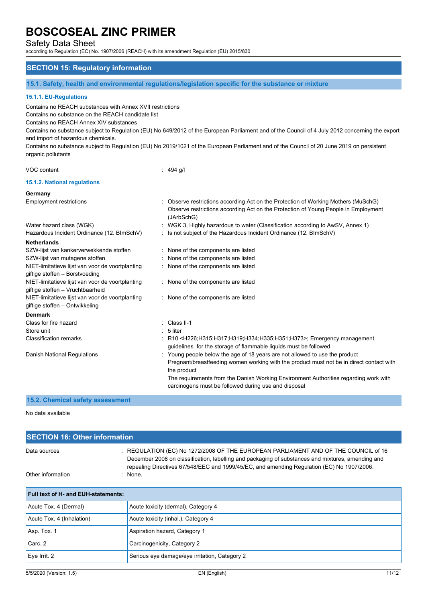Safety Data Sheet

according to Regulation (EC) No. 1907/2006 (REACH) with its amendment Regulation (EU) 2015/830

## **SECTION 15: Regulatory information**

**15.1. Safety, health and environmental regulations/legislation specific for the substance or mixture**

#### **15.1.1. EU-Regulations**

Contains no REACH substances with Annex XVII restrictions

Contains no substance on the REACH candidate list

Contains no REACH Annex XIV substances

Contains no substance subject to Regulation (EU) No 649/2012 of the European Parliament and of the Council of 4 July 2012 concerning the export and import of hazardous chemicals.

Contains no substance subject to Regulation (EU) No 2019/1021 of the European Parliament and of the Council of 20 June 2019 on persistent organic pollutants

|  | VOC content |
|--|-------------|
|--|-------------|

 $: 494$  g/l

#### **15.1.2. National regulations**

#### **Germany**

| <b>Employment restrictions</b>                                                       | : Observe restrictions according Act on the Protection of Working Mothers (MuSchG)<br>Observe restrictions according Act on the Protection of Young People in Employment<br>(JArbSchG) |
|--------------------------------------------------------------------------------------|----------------------------------------------------------------------------------------------------------------------------------------------------------------------------------------|
| Water hazard class (WGK)                                                             | : WGK 3, Highly hazardous to water (Classification according to AwSV, Annex 1)                                                                                                         |
| Hazardous Incident Ordinance (12. BImSchV)                                           | : Is not subject of the Hazardous Incident Ordinance (12. BImSchV)                                                                                                                     |
| <b>Netherlands</b>                                                                   |                                                                                                                                                                                        |
| SZW-lijst van kankerverwekkende stoffen                                              | : None of the components are listed                                                                                                                                                    |
| SZW-lijst van mutagene stoffen                                                       | : None of the components are listed                                                                                                                                                    |
| NIET-limitatieve lijst van voor de voortplanting                                     | : None of the components are listed                                                                                                                                                    |
| giftige stoffen - Borstvoeding                                                       |                                                                                                                                                                                        |
| NIET-limitatieve lijst van voor de voortplanting<br>giftige stoffen - Vruchtbaarheid | : None of the components are listed                                                                                                                                                    |
| NIET-limitatieve lijst van voor de voortplanting                                     | : None of the components are listed                                                                                                                                                    |
| giftige stoffen – Ontwikkeling                                                       |                                                                                                                                                                                        |
| <b>Denmark</b>                                                                       |                                                                                                                                                                                        |
| Class for fire hazard                                                                | $\therefore$ Class II-1                                                                                                                                                                |
| Store unit                                                                           | $: 5$ liter                                                                                                                                                                            |
| <b>Classification remarks</b>                                                        | : R10 <h226;h315;h317;h319;h334;h335;h351;h373>; Emergency management<br/>guidelines for the storage of flammable liquids must be followed</h226;h315;h317;h319;h334;h335;h351;h373>   |
| Danish National Regulations                                                          | : Young people below the age of 18 years are not allowed to use the product<br>Pregnant/breastfeeding women working with the product must not be in direct contact with<br>the product |
|                                                                                      | The requirements from the Danish Working Environment Authorities regarding work with<br>carcinogens must be followed during use and disposal                                           |

## **15.2. Chemical safety assessment**

No data available

| <b>SECTION 16: Other information</b> |                                                                                                                                                                                                                                                                                       |  |
|--------------------------------------|---------------------------------------------------------------------------------------------------------------------------------------------------------------------------------------------------------------------------------------------------------------------------------------|--|
| Data sources                         | : REGULATION (EC) No 1272/2008 OF THE EUROPEAN PARLIAMENT AND OF THE COUNCIL of 16<br>December 2008 on classification, labelling and packaging of substances and mixtures, amending and<br>repealing Directives 67/548/EEC and 1999/45/EC, and amending Regulation (EC) No 1907/2006. |  |
| Other information                    | : None.                                                                                                                                                                                                                                                                               |  |

| <b>Full text of H- and EUH-statements:</b>    |  |  |
|-----------------------------------------------|--|--|
| Acute toxicity (dermal), Category 4           |  |  |
| Acute toxicity (inhal.), Category 4           |  |  |
| Aspiration hazard, Category 1                 |  |  |
| Carcinogenicity, Category 2                   |  |  |
| Serious eye damage/eye irritation, Category 2 |  |  |
|                                               |  |  |